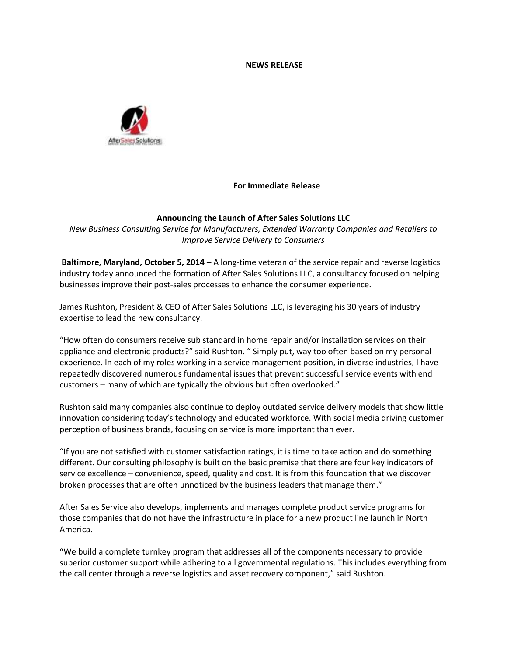#### **NEWS RELEASE**



# **For Immediate Release**

### **Announcing the Launch of After Sales Solutions LLC**

*New Business Consulting Service for Manufacturers, Extended Warranty Companies and Retailers to Improve Service Delivery to Consumers*

**Baltimore, Maryland, October 5, 2014 –** A long-time veteran of the service repair and reverse logistics industry today announced the formation of After Sales Solutions LLC, a consultancy focused on helping businesses improve their post-sales processes to enhance the consumer experience.

James Rushton, President & CEO of After Sales Solutions LLC, is leveraging his 30 years of industry expertise to lead the new consultancy.

"How often do consumers receive sub standard in home repair and/or installation services on their appliance and electronic products?" said Rushton. " Simply put, way too often based on my personal experience. In each of my roles working in a service management position, in diverse industries, I have repeatedly discovered numerous fundamental issues that prevent successful service events with end customers – many of which are typically the obvious but often overlooked."

Rushton said many companies also continue to deploy outdated service delivery models that show little innovation considering today's technology and educated workforce. With social media driving customer perception of business brands, focusing on service is more important than ever.

"If you are not satisfied with customer satisfaction ratings, it is time to take action and do something different. Our consulting philosophy is built on the basic premise that there are four key indicators of service excellence – convenience, speed, quality and cost. It is from this foundation that we discover broken processes that are often unnoticed by the business leaders that manage them."

After Sales Service also develops, implements and manages complete product service programs for those companies that do not have the infrastructure in place for a new product line launch in North America.

"We build a complete turnkey program that addresses all of the components necessary to provide superior customer support while adhering to all governmental regulations. This includes everything from the call center through a reverse logistics and asset recovery component," said Rushton.